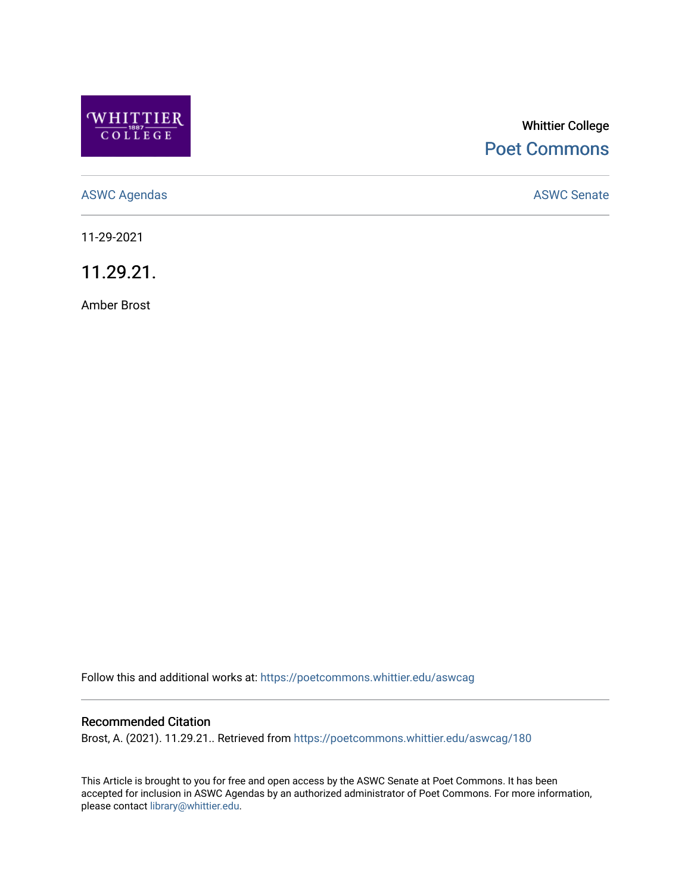

# Whittier College [Poet Commons](https://poetcommons.whittier.edu/)

[ASWC Agendas](https://poetcommons.whittier.edu/aswcag) **ASWC Senate** 

11-29-2021

11.29.21.

Amber Brost

Follow this and additional works at: [https://poetcommons.whittier.edu/aswcag](https://poetcommons.whittier.edu/aswcag?utm_source=poetcommons.whittier.edu%2Faswcag%2F180&utm_medium=PDF&utm_campaign=PDFCoverPages) 

## Recommended Citation

Brost, A. (2021). 11.29.21.. Retrieved from [https://poetcommons.whittier.edu/aswcag/180](https://poetcommons.whittier.edu/aswcag/180?utm_source=poetcommons.whittier.edu%2Faswcag%2F180&utm_medium=PDF&utm_campaign=PDFCoverPages)

This Article is brought to you for free and open access by the ASWC Senate at Poet Commons. It has been accepted for inclusion in ASWC Agendas by an authorized administrator of Poet Commons. For more information, please contact [library@whittier.edu](mailto:library@whittier.edu).